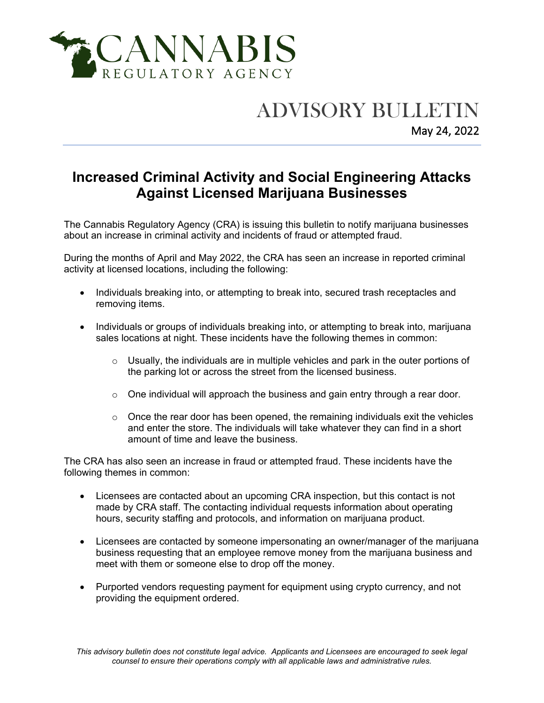

## ADVISORY BULLETIN

May 24, 2022

## **Increased Criminal Activity and Social Engineering Attacks Against Licensed Marijuana Businesses**

The Cannabis Regulatory Agency (CRA) is issuing this bulletin to notify marijuana businesses about an increase in criminal activity and incidents of fraud or attempted fraud.

During the months of April and May 2022, the CRA has seen an increase in reported criminal activity at licensed locations, including the following:

- Individuals breaking into, or attempting to break into, secured trash receptacles and removing items.
- Individuals or groups of individuals breaking into, or attempting to break into, marijuana sales locations at night. These incidents have the following themes in common:
	- $\circ$  Usually, the individuals are in multiple vehicles and park in the outer portions of the parking lot or across the street from the licensed business.
	- $\circ$  One individual will approach the business and gain entry through a rear door.
	- $\circ$  Once the rear door has been opened, the remaining individuals exit the vehicles and enter the store. The individuals will take whatever they can find in a short amount of time and leave the business.

The CRA has also seen an increase in fraud or attempted fraud. These incidents have the following themes in common:

- Licensees are contacted about an upcoming CRA inspection, but this contact is not made by CRA staff. The contacting individual requests information about operating hours, security staffing and protocols, and information on marijuana product.
- Licensees are contacted by someone impersonating an owner/manager of the marijuana business requesting that an employee remove money from the marijuana business and meet with them or someone else to drop off the money.
- Purported vendors requesting payment for equipment using crypto currency, and not providing the equipment ordered.